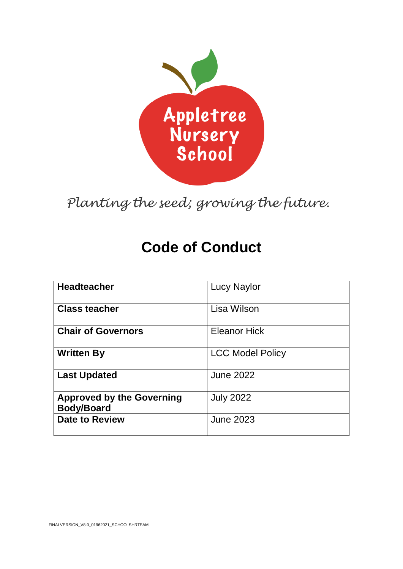

*Planting the seed; growing the future.*

# **Code of Conduct**

| <b>Headteacher</b>                                    | <b>Lucy Naylor</b>      |
|-------------------------------------------------------|-------------------------|
| <b>Class teacher</b>                                  | Lisa Wilson             |
| <b>Chair of Governors</b>                             | <b>Eleanor Hick</b>     |
| <b>Written By</b>                                     | <b>LCC Model Policy</b> |
| <b>Last Updated</b>                                   | <b>June 2022</b>        |
| <b>Approved by the Governing</b><br><b>Body/Board</b> | <b>July 2022</b>        |
| <b>Date to Review</b>                                 | <b>June 2023</b>        |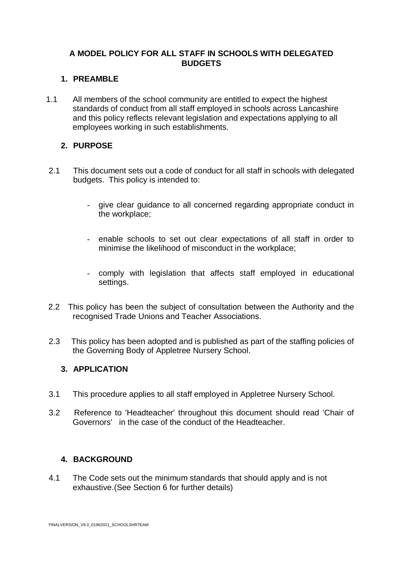# **A MODEL POLICY FOR ALL STAFF IN SCHOOLS WITH DELEGATED BUDGETS**

#### **1. PREAMBLE**

1.1 All members of the school community are entitled to expect the highest standards of conduct from all staff employed in schools across Lancashire and this policy reflects relevant legislation and expectations applying to all employees working in such establishments.

# **2. PURPOSE**

- 2.1 This document sets out a code of conduct for all staff in schools with delegated budgets. This policy is intended to:
	- give clear guidance to all concerned regarding appropriate conduct in the workplace;
	- enable schools to set out clear expectations of all staff in order to minimise the likelihood of misconduct in the workplace;
	- comply with legislation that affects staff employed in educational settings.
- 2.2 This policy has been the subject of consultation between the Authority and the recognised Trade Unions and Teacher Associations.
- 2.3 This policy has been adopted and is published as part of the staffing policies of the Governing Body of Appletree Nursery School.

#### **3. APPLICATION**

- 3.1 This procedure applies to all staff employed in Appletree Nursery School.
- 3.2 Reference to 'Headteacher' throughout this document should read 'Chair of Governors' in the case of the conduct of the Headteacher.

# **4. BACKGROUND**

4.1 The Code sets out the minimum standards that should apply and is not exhaustive.(See Section 6 for further details)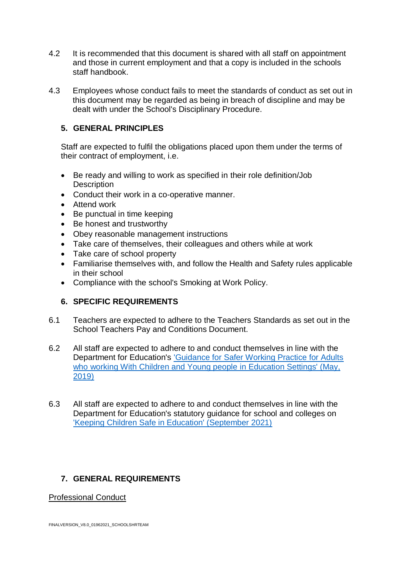- 4.2 It is recommended that this document is shared with all staff on appointment and those in current employment and that a copy is included in the schools staff handbook.
- 4.3 Employees whose conduct fails to meet the standards of conduct as set out in this document may be regarded as being in breach of discipline and may be dealt with under the School's Disciplinary Procedure.

#### **5. GENERAL PRINCIPLES**

Staff are expected to fulfil the obligations placed upon them under the terms of their contract of employment, i.e.

- Be ready and willing to work as specified in their role definition/Job **Description**
- Conduct their work in a co-operative manner.
- Attend work
- Be punctual in time keeping
- Be honest and trustworthy
- Obey reasonable management instructions
- Take care of themselves, their colleagues and others while at work
- Take care of school property
- Familiarise themselves with, and follow the Health and Safety rules applicable in their school
- Compliance with the school's Smoking at Work Policy.

# **6. SPECIFIC REQUIREMENTS**

- 6.1 Teachers are expected to adhere to the Teachers Standards as set out in the School Teachers Pay and Conditions Document.
- 6.2 All staff are expected to adhere to and conduct themselves in line with the Department for Education's ['Guidance for Safer Working Practice for Adults](https://schoolsportal.lancsngfl.ac.uk/view_sp.asp?siteid=4311&pageid=19577&e=e)  [who working With Children and Young people](https://schoolsportal.lancsngfl.ac.uk/view_sp.asp?siteid=4311&pageid=19577&e=e) in Education Settings' (May, [2019\)](https://schoolsportal.lancsngfl.ac.uk/view_sp.asp?siteid=4311&pageid=19577&e=e)
- 6.3 All staff are expected to adhere to and conduct themselves in line with the Department for Education's statutory guidance for school and colleges on ['Keeping Children Safe in Education' \(September 2021\)](file:///C:/Users/cneville001/Downloads/Keeping_children_safe_in_education_2021%20(1).pdf)

# **7. GENERAL REQUIREMENTS**

Professional Conduct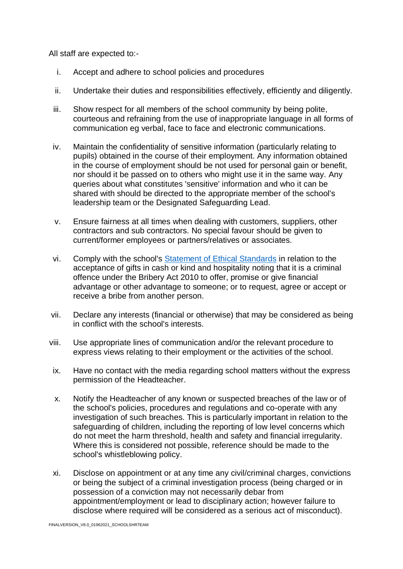All staff are expected to:-

- i. Accept and adhere to school policies and procedures
- ii. Undertake their duties and responsibilities effectively, efficiently and diligently.
- iii. Show respect for all members of the school community by being polite, courteous and refraining from the use of inappropriate language in all forms of communication eg verbal, face to face and electronic communications.
- iv. Maintain the confidentiality of sensitive information (particularly relating to pupils) obtained in the course of their employment. Any information obtained in the course of employment should be not used for personal gain or benefit, nor should it be passed on to others who might use it in the same way. Any queries about what constitutes 'sensitive' information and who it can be shared with should be directed to the appropriate member of the school's leadership team or the Designated Safeguarding Lead.
- v. Ensure fairness at all times when dealing with customers, suppliers, other contractors and sub contractors. No special favour should be given to current/former employees or partners/relatives or associates.
- vi. Comply with the school's [Statement of Ethical Standards](https://schoolsportal.lancsngfl.ac.uk/view_sp.asp?siteid=4311&pageid=46755) in relation to the acceptance of gifts in cash or kind and hospitality noting that it is a criminal offence under the Bribery Act 2010 to offer, promise or give financial advantage or other advantage to someone; or to request, agree or accept or receive a bribe from another person.
- vii. Declare any interests (financial or otherwise) that may be considered as being in conflict with the school's interests.
- viii. Use appropriate lines of communication and/or the relevant procedure to express views relating to their employment or the activities of the school.
- ix. Have no contact with the media regarding school matters without the express permission of the Headteacher.
- x. Notify the Headteacher of any known or suspected breaches of the law or of the school's policies, procedures and regulations and co-operate with any investigation of such breaches. This is particularly important in relation to the safeguarding of children, including the reporting of low level concerns which do not meet the harm threshold, health and safety and financial irregularity. Where this is considered not possible, reference should be made to the school's whistleblowing policy.
- xi. Disclose on appointment or at any time any civil/criminal charges, convictions or being the subject of a criminal investigation process (being charged or in possession of a conviction may not necessarily debar from appointment/employment or lead to disciplinary action; however failure to disclose where required will be considered as a serious act of misconduct).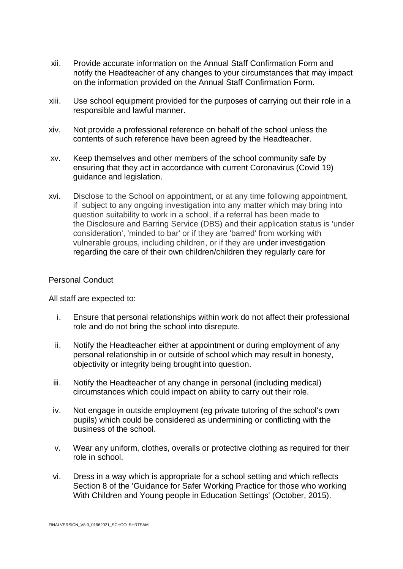- xii. Provide accurate information on the Annual Staff Confirmation Form and notify the Headteacher of any changes to your circumstances that may impact on the information provided on the Annual Staff Confirmation Form.
- xiii. Use school equipment provided for the purposes of carrying out their role in a responsible and lawful manner.
- xiv. Not provide a professional reference on behalf of the school unless the contents of such reference have been agreed by the Headteacher.
- xv. Keep themselves and other members of the school community safe by ensuring that they act in accordance with current Coronavirus (Covid 19) guidance and legislation.
- xvi. Disclose to the School on appointment, or at any time following appointment, if subject to any ongoing investigation into any matter which may bring into question suitability to work in a school, if a referral has been made to the Disclosure and Barring Service (DBS) and their application status is 'under consideration', 'minded to bar' or if they are 'barred' from working with vulnerable groups, including children, or if they are under investigation regarding the care of their own children/children they regularly care for

#### Personal Conduct

All staff are expected to:

- i. Ensure that personal relationships within work do not affect their professional role and do not bring the school into disrepute.
- ii. Notify the Headteacher either at appointment or during employment of any personal relationship in or outside of school which may result in honesty, objectivity or integrity being brought into question.
- iii. Notify the Headteacher of any change in personal (including medical) circumstances which could impact on ability to carry out their role.
- iv. Not engage in outside employment (eg private tutoring of the school's own pupils) which could be considered as undermining or conflicting with the business of the school.
- v. Wear any uniform, clothes, overalls or protective clothing as required for their role in school.
- vi. Dress in a way which is appropriate for a school setting and which reflects Section 8 of the 'Guidance for Safer Working Practice for those who working With Children and Young people in Education Settings' (October, 2015).